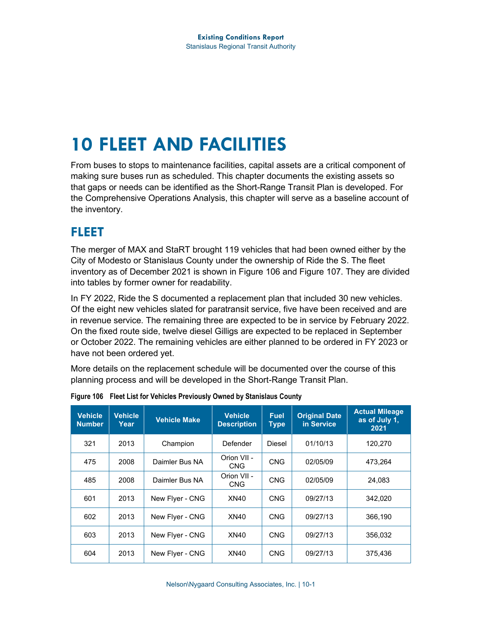# **10 FLEET AND FACILITIES**

From buses to stops to maintenance facilities, capital assets are a critical component of making sure buses run as scheduled. This chapter documents the existing assets so that gaps or needs can be identified as the Short-Range Transit Plan is developed. For the Comprehensive Operations Analysis, this chapter will serve as a baseline account of the inventory.

### **FLEET**

The merger of MAX and StaRT brought 119 vehicles that had been owned either by the City of Modesto or Stanislaus County under the ownership of Ride the S. The fleet inventory as of December 2021 is shown in [Figure 106](#page-0-0) and [Figure 107.](#page-2-0) They are divided into tables by former owner for readability.

In FY 2022, Ride the S documented a replacement plan that included 30 new vehicles. Of the eight new vehicles slated for paratransit service, five have been received and are in revenue service. The remaining three are expected to be in service by February 2022. On the fixed route side, twelve diesel Gilligs are expected to be replaced in September or October 2022. The remaining vehicles are either planned to be ordered in FY 2023 or have not been ordered yet.

More details on the replacement schedule will be documented over the course of this planning process and will be developed in the Short-Range Transit Plan.

| <b>Vehicle</b><br><b>Number</b> | <b>Vehicle</b><br>Year | <b>Vehicle Make</b> | <b>Vehicle</b><br><b>Description</b> | <b>Fuel</b><br><b>Type</b> | <b>Original Date</b><br>in Service | <b>Actual Mileage</b><br>as of July 1,<br>2021 |
|---------------------------------|------------------------|---------------------|--------------------------------------|----------------------------|------------------------------------|------------------------------------------------|
| 321                             | 2013                   | Champion            | Defender                             | <b>Diesel</b>              | 01/10/13                           | 120,270                                        |
| 475                             | 2008                   | Daimler Bus NA      | Orion VII -<br><b>CNG</b>            | <b>CNG</b>                 | 02/05/09                           | 473.264                                        |
| 485                             | 2008                   | Daimler Bus NA      | Orion VII -<br>CNG.                  | <b>CNG</b>                 | 02/05/09                           | 24,083                                         |
| 601                             | 2013                   | New Flyer - CNG     | XN40                                 | <b>CNG</b>                 | 09/27/13                           | 342.020                                        |
| 602                             | 2013                   | New Flyer - CNG     | XN40                                 | <b>CNG</b>                 | 09/27/13                           | 366,190                                        |
| 603                             | 2013                   | New Flyer - CNG     | XN40                                 | <b>CNG</b>                 | 09/27/13                           | 356.032                                        |
| 604                             | 2013                   | New Flyer - CNG     | XN40                                 | <b>CNG</b>                 | 09/27/13                           | 375.436                                        |

<span id="page-0-0"></span>**Figure 106 Fleet List for Vehicles Previously Owned by Stanislaus County**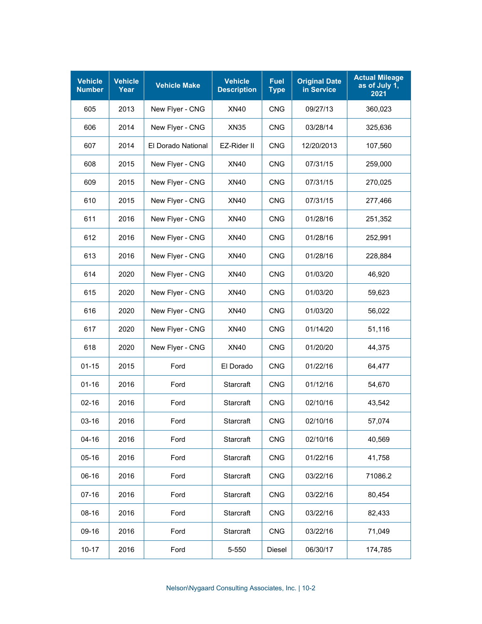| <b>Vehicle</b><br><b>Number</b> | <b>Vehicle</b><br>Year | <b>Vehicle Make</b> | <b>Vehicle</b><br><b>Description</b> | <b>Fuel</b><br><b>Type</b> | <b>Original Date</b><br>in Service | <b>Actual Mileage</b><br>as of July 1,<br>2021 |
|---------------------------------|------------------------|---------------------|--------------------------------------|----------------------------|------------------------------------|------------------------------------------------|
| 605                             | 2013                   | New Flyer - CNG     | XN40                                 | <b>CNG</b>                 | 09/27/13                           | 360,023                                        |
| 606                             | 2014                   | New Flyer - CNG     | <b>XN35</b>                          | CNG                        | 03/28/14                           | 325,636                                        |
| 607                             | 2014                   | El Dorado National  | EZ-Rider II                          | <b>CNG</b>                 | 12/20/2013                         | 107,560                                        |
| 608                             | 2015                   | New Flyer - CNG     | <b>XN40</b>                          | <b>CNG</b>                 | 07/31/15                           | 259,000                                        |
| 609                             | 2015                   | New Flyer - CNG     | <b>XN40</b>                          | <b>CNG</b>                 | 07/31/15                           | 270,025                                        |
| 610                             | 2015                   | New Flyer - CNG     | <b>XN40</b>                          | <b>CNG</b>                 | 07/31/15                           | 277,466                                        |
| 611                             | 2016                   | New Flyer - CNG     | <b>XN40</b>                          | <b>CNG</b>                 | 01/28/16                           | 251,352                                        |
| 612                             | 2016                   | New Flyer - CNG     | <b>XN40</b>                          | <b>CNG</b>                 | 01/28/16                           | 252,991                                        |
| 613                             | 2016                   | New Flyer - CNG     | <b>XN40</b>                          | <b>CNG</b>                 | 01/28/16                           | 228,884                                        |
| 614                             | 2020                   | New Flyer - CNG     | XN40                                 | <b>CNG</b>                 | 01/03/20                           | 46,920                                         |
| 615                             | 2020                   | New Flyer - CNG     | XN40                                 | <b>CNG</b>                 | 01/03/20                           | 59,623                                         |
| 616                             | 2020                   | New Flyer - CNG     | XN40                                 | <b>CNG</b>                 | 01/03/20                           | 56,022                                         |
| 617                             | 2020                   | New Flyer - CNG     | XN40                                 | <b>CNG</b>                 | 01/14/20                           | 51,116                                         |
| 618                             | 2020                   | New Flyer - CNG     | XN40                                 | CNG                        | 01/20/20                           | 44,375                                         |
| $01 - 15$                       | 2015                   | Ford                | El Dorado                            | <b>CNG</b>                 | 01/22/16                           | 64,477                                         |
| $01 - 16$                       | 2016                   | Ford                | Starcraft                            | <b>CNG</b>                 | 01/12/16                           | 54,670                                         |
| $02 - 16$                       | 2016                   | Ford                | Starcraft                            | <b>CNG</b>                 | 02/10/16                           | 43,542                                         |
| 03-16                           | 2016                   | Ford                | Starcraft                            | <b>CNG</b>                 | 02/10/16                           | 57,074                                         |
| $04-16$                         | 2016                   | Ford                | Starcraft                            | <b>CNG</b>                 | 02/10/16                           | 40,569                                         |
| $05 - 16$                       | 2016                   | Ford                | Starcraft                            | <b>CNG</b>                 | 01/22/16                           | 41,758                                         |
| 06-16                           | 2016                   | Ford                | Starcraft                            | <b>CNG</b>                 | 03/22/16                           | 71086.2                                        |
| $07 - 16$                       | 2016                   | Ford                | Starcraft                            | <b>CNG</b>                 | 03/22/16                           | 80,454                                         |
| 08-16                           | 2016                   | Ford                | Starcraft                            | <b>CNG</b>                 | 03/22/16                           | 82,433                                         |
| 09-16                           | 2016                   | Ford                | Starcraft                            | <b>CNG</b>                 | 03/22/16                           | 71,049                                         |
| $10-17$                         | 2016                   | Ford                | 5-550                                | Diesel                     | 06/30/17                           | 174,785                                        |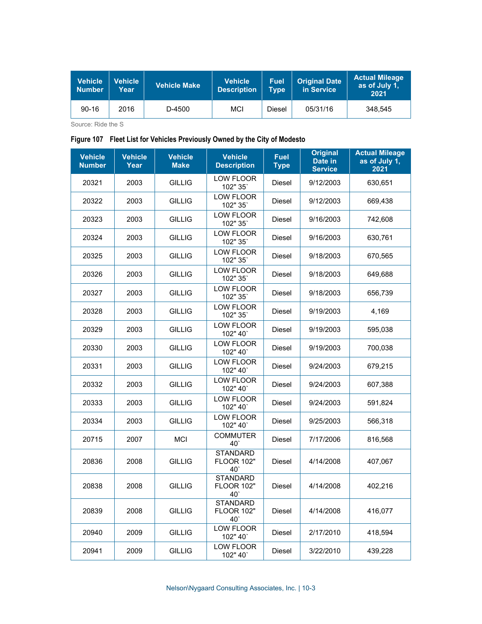| <b>Vehicle</b><br><b>Number</b> | <b>Vehicle</b><br>Year | <b>Vehicle Make</b> | <b>Vehicle</b><br><b>Description</b> | <b>Fuel</b><br><b>Type</b> | <b>Original Date</b><br>in Service | <b>Actual Mileage</b><br>as of July 1,<br>2021 |
|---------------------------------|------------------------|---------------------|--------------------------------------|----------------------------|------------------------------------|------------------------------------------------|
| $90 - 16$                       | 2016                   | D-4500              | <b>MCI</b>                           | Diesel                     | 05/31/16                           | 348.545                                        |

Source: Ride the S

#### <span id="page-2-0"></span>**Figure 107 Fleet List for Vehicles Previously Owned by the City of Modesto**

| <b>Vehicle</b><br><b>Number</b> | <b>Vehicle</b><br>Year | <b>Vehicle</b><br><b>Make</b> | <b>Vehicle</b><br><b>Description</b>                    | <b>Fuel</b><br><b>Type</b> | <b>Original</b><br>Date in<br><b>Service</b> | <b>Actual Mileage</b><br>as of July 1,<br>2021 |
|---------------------------------|------------------------|-------------------------------|---------------------------------------------------------|----------------------------|----------------------------------------------|------------------------------------------------|
| 20321                           | 2003                   | <b>GILLIG</b>                 | LOW FLOOR<br>102" 35"                                   | Diesel                     | 9/12/2003                                    | 630,651                                        |
| 20322                           | 2003                   | <b>GILLIG</b>                 | <b>LOW FLOOR</b><br>102" 35"                            | Diesel                     | 9/12/2003                                    | 669,438                                        |
| 20323                           | 2003                   | <b>GILLIG</b>                 | LOW FLOOR<br>102" 35"                                   | Diesel                     | 9/16/2003                                    | 742,608                                        |
| 20324                           | 2003                   | <b>GILLIG</b>                 | <b>LOW FLOOR</b><br>102" 35"                            | <b>Diesel</b>              | 9/16/2003                                    | 630,761                                        |
| 20325                           | 2003                   | <b>GILLIG</b>                 | LOW FLOOR<br>102" 35"                                   | Diesel                     | 9/18/2003                                    | 670,565                                        |
| 20326                           | 2003                   | <b>GILLIG</b>                 | LOW FLOOR<br>102" 35"                                   | Diesel                     | 9/18/2003                                    | 649,688                                        |
| 20327                           | 2003                   | <b>GILLIG</b>                 | LOW FLOOR<br>102" 35'                                   | Diesel                     | 9/18/2003                                    | 656,739                                        |
| 20328                           | 2003                   | <b>GILLIG</b>                 | <b>LOW FLOOR</b><br>102" 35"                            | Diesel                     | 9/19/2003                                    | 4,169                                          |
| 20329                           | 2003                   | <b>GILLIG</b>                 | LOW FLOOR<br>102" 40                                    | Diesel                     | 9/19/2003                                    | 595,038                                        |
| 20330                           | 2003                   | <b>GILLIG</b>                 | <b>LOW FLOOR</b><br>102" 40'                            | <b>Diesel</b>              | 9/19/2003                                    | 700,038                                        |
| 20331                           | 2003                   | <b>GILLIG</b>                 | LOW FLOOR<br>102" 40"                                   | Diesel                     | 9/24/2003                                    | 679,215                                        |
| 20332                           | 2003                   | <b>GILLIG</b>                 | LOW FLOOR<br>102" 40'                                   | Diesel                     | 9/24/2003                                    | 607,388                                        |
| 20333                           | 2003                   | <b>GILLIG</b>                 | <b>LOW FLOOR</b><br>102" 40'                            | Diesel                     | 9/24/2003                                    | 591,824                                        |
| 20334                           | 2003                   | <b>GILLIG</b>                 | LOW FLOOR<br>102" 40                                    | Diesel                     | 9/25/2003                                    | 566,318                                        |
| 20715                           | 2007                   | <b>MCI</b>                    | <b>COMMUTER</b><br>$40^\circ$                           | Diesel                     | 7/17/2006                                    | 816,568                                        |
| 20836                           | 2008                   | <b>GILLIG</b>                 | <b>STANDARD</b><br><b>FLOOR 102"</b><br>40              | Diesel                     | 4/14/2008                                    | 407,067                                        |
| 20838                           | 2008                   | <b>GILLIG</b>                 | <b>STANDARD</b><br><b>FLOOR 102"</b><br>40 <sup>°</sup> | Diesel                     | 4/14/2008                                    | 402,216                                        |
| 20839                           | 2008                   | <b>GILLIG</b>                 | <b>STANDARD</b><br><b>FLOOR 102"</b><br>40              | Diesel                     | 4/14/2008                                    | 416,077                                        |
| 20940                           | 2009                   | <b>GILLIG</b>                 | <b>LOW FLOOR</b><br>102" 40"                            | Diesel                     | 2/17/2010                                    | 418,594                                        |
| 20941                           | 2009                   | <b>GILLIG</b>                 | <b>LOW FLOOR</b><br>102" 40"                            | Diesel                     | 3/22/2010                                    | 439,228                                        |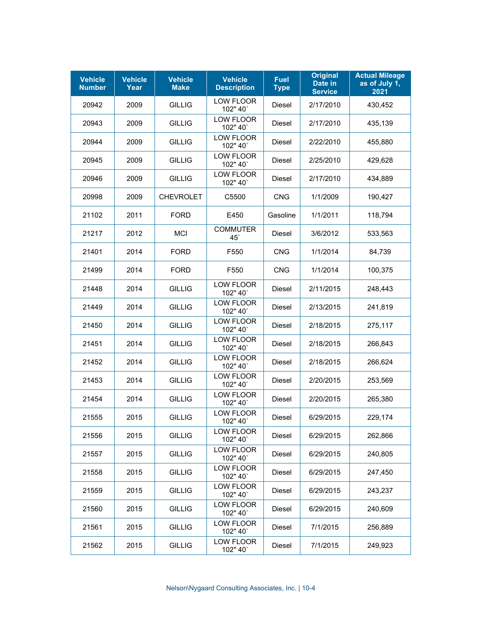| <b>Vehicle</b><br><b>Number</b> | <b>Vehicle</b><br>Year | <b>Vehicle</b><br><b>Make</b> | <b>Vehicle</b><br><b>Description</b> | <b>Fuel</b><br><b>Type</b> | <b>Original</b><br>Date in<br><b>Service</b> | <b>Actual Mileage</b><br>as of July 1,<br>2021 |
|---------------------------------|------------------------|-------------------------------|--------------------------------------|----------------------------|----------------------------------------------|------------------------------------------------|
| 20942                           | 2009                   | <b>GILLIG</b>                 | <b>LOW FLOOR</b><br>102" 40"         | Diesel                     | 2/17/2010                                    | 430,452                                        |
| 20943                           | 2009                   | <b>GILLIG</b>                 | LOW FLOOR<br>102" 40'                | <b>Diesel</b>              | 2/17/2010                                    | 435,139                                        |
| 20944                           | 2009                   | <b>GILLIG</b>                 | LOW FLOOR<br>102" 40'                | Diesel                     | 2/22/2010                                    | 455,880                                        |
| 20945                           | 2009                   | <b>GILLIG</b>                 | <b>LOW FLOOR</b><br>102" 40'         | Diesel                     | 2/25/2010                                    | 429,628                                        |
| 20946                           | 2009                   | <b>GILLIG</b>                 | LOW FLOOR<br>102" 40'                | Diesel                     | 2/17/2010                                    | 434,889                                        |
| 20998                           | 2009                   | <b>CHEVROLET</b>              | C5500                                | <b>CNG</b>                 | 1/1/2009                                     | 190,427                                        |
| 21102                           | 2011                   | <b>FORD</b>                   | E450                                 | Gasoline                   | 1/1/2011                                     | 118,794                                        |
| 21217                           | 2012                   | <b>MCI</b>                    | <b>COMMUTER</b><br>$45^\circ$        | Diesel                     | 3/6/2012                                     | 533,563                                        |
| 21401                           | 2014                   | <b>FORD</b>                   | F550                                 | <b>CNG</b>                 | 1/1/2014                                     | 84,739                                         |
| 21499                           | 2014                   | <b>FORD</b>                   | F550                                 | <b>CNG</b>                 | 1/1/2014                                     | 100,375                                        |
| 21448                           | 2014                   | <b>GILLIG</b>                 | <b>LOW FLOOR</b><br>102" 40'         | <b>Diesel</b>              | 2/11/2015                                    | 248,443                                        |
| 21449                           | 2014                   | <b>GILLIG</b>                 | <b>LOW FLOOR</b><br>102" 40'         | Diesel                     | 2/13/2015                                    | 241,819                                        |
| 21450                           | 2014                   | <b>GILLIG</b>                 | LOW FLOOR<br>102" 40'                | <b>Diesel</b>              | 2/18/2015                                    | 275,117                                        |
| 21451                           | 2014                   | <b>GILLIG</b>                 | LOW FLOOR<br>102" 40'                | Diesel                     | 2/18/2015                                    | 266,843                                        |
| 21452                           | 2014                   | <b>GILLIG</b>                 | LOW FLOOR<br>102" 40'                | <b>Diesel</b>              | 2/18/2015                                    | 266,624                                        |
| 21453                           | 2014                   | <b>GILLIG</b>                 | LOW FLOOR<br>102" 40'                | Diesel                     | 2/20/2015                                    | 253,569                                        |
| 21454                           | 2014                   | <b>GILLIG</b>                 | LOW FLOOR<br>102" 40"                | Diesel                     | 2/20/2015                                    | 265,380                                        |
| 21555                           | 2015                   | <b>GILLIG</b>                 | LOW FLOOR<br>102" 40"                | Diesel                     | 6/29/2015                                    | 229,174                                        |
| 21556                           | 2015                   | <b>GILLIG</b>                 | <b>LOW FLOOR</b><br>102" 40'         | Diesel                     | 6/29/2015                                    | 262,866                                        |
| 21557                           | 2015                   | <b>GILLIG</b>                 | LOW FLOOR<br>102" 40'                | Diesel                     | 6/29/2015                                    | 240,805                                        |
| 21558                           | 2015                   | <b>GILLIG</b>                 | <b>LOW FLOOR</b><br>102" 40'         | Diesel                     | 6/29/2015                                    | 247,450                                        |
| 21559                           | 2015                   | <b>GILLIG</b>                 | LOW FLOOR<br>102" 40'                | Diesel                     | 6/29/2015                                    | 243,237                                        |
| 21560                           | 2015                   | <b>GILLIG</b>                 | LOW FLOOR<br>102" 40'                | Diesel                     | 6/29/2015                                    | 240,609                                        |
| 21561                           | 2015                   | <b>GILLIG</b>                 | LOW FLOOR<br>102" 40'                | Diesel                     | 7/1/2015                                     | 256,889                                        |
| 21562                           | 2015                   | <b>GILLIG</b>                 | LOW FLOOR<br>102" 40'                | Diesel                     | 7/1/2015                                     | 249,923                                        |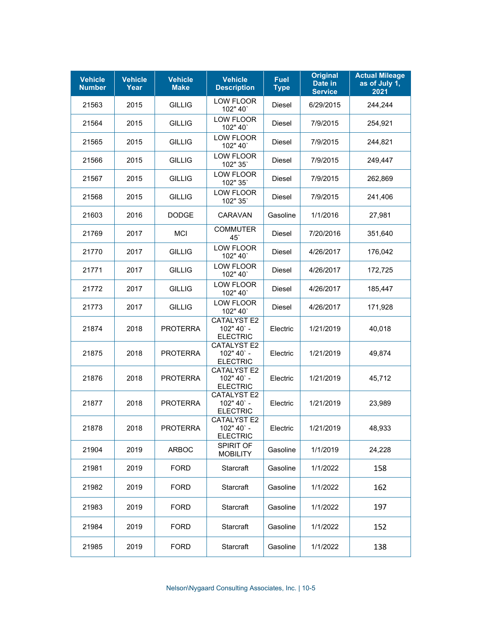| <b>Vehicle</b><br><b>Number</b> | <b>Vehicle</b><br>Year | <b>Vehicle</b><br><b>Make</b> | <b>Vehicle</b><br><b>Description</b>                | <b>Fuel</b><br><b>Type</b> | <b>Original</b><br>Date in<br><b>Service</b> | <b>Actual Mileage</b><br>as of July 1,<br>2021 |
|---------------------------------|------------------------|-------------------------------|-----------------------------------------------------|----------------------------|----------------------------------------------|------------------------------------------------|
| 21563                           | 2015                   | <b>GILLIG</b>                 | LOW FLOOR<br>102" 40"                               | Diesel                     | 6/29/2015                                    | 244,244                                        |
| 21564                           | 2015                   | <b>GILLIG</b>                 | LOW FLOOR<br>102" 40"                               | Diesel                     | 7/9/2015                                     | 254,921                                        |
| 21565                           | 2015                   | <b>GILLIG</b>                 | LOW FLOOR<br>102" 40'                               | Diesel                     | 7/9/2015                                     | 244,821                                        |
| 21566                           | 2015                   | <b>GILLIG</b>                 | <b>LOW FLOOR</b><br>102" 35"                        | Diesel                     | 7/9/2015                                     | 249,447                                        |
| 21567                           | 2015                   | <b>GILLIG</b>                 | LOW FLOOR<br>102" 35"                               | Diesel                     | 7/9/2015                                     | 262,869                                        |
| 21568                           | 2015                   | <b>GILLIG</b>                 | LOW FLOOR<br>102" 35'                               | Diesel                     | 7/9/2015                                     | 241,406                                        |
| 21603                           | 2016                   | <b>DODGE</b>                  | <b>CARAVAN</b>                                      | Gasoline                   | 1/1/2016                                     | 27,981                                         |
| 21769                           | 2017                   | <b>MCI</b>                    | <b>COMMUTER</b><br>$45^\circ$                       | Diesel                     | 7/20/2016                                    | 351,640                                        |
| 21770                           | 2017                   | <b>GILLIG</b>                 | <b>LOW FLOOR</b><br>102" 40"                        | <b>Diesel</b>              | 4/26/2017                                    | 176,042                                        |
| 21771                           | 2017                   | <b>GILLIG</b>                 | LOW FLOOR<br>102" 40"                               | Diesel                     | 4/26/2017                                    | 172,725                                        |
| 21772                           | 2017                   | <b>GILLIG</b>                 | LOW FLOOR<br>102" 40"                               | <b>Diesel</b>              | 4/26/2017                                    | 185,447                                        |
| 21773                           | 2017                   | <b>GILLIG</b>                 | <b>LOW FLOOR</b><br>102" 40'                        | Diesel                     | 4/26/2017                                    | 171,928                                        |
| 21874                           | 2018                   | <b>PROTERRA</b>               | <b>CATALYST E2</b><br>102" 40' -<br><b>ELECTRIC</b> | Electric                   | 1/21/2019                                    | 40,018                                         |
| 21875                           | 2018                   | <b>PROTERRA</b>               | <b>CATALYST E2</b><br>102" 40' -<br><b>ELECTRIC</b> | Electric                   | 1/21/2019                                    | 49,874                                         |
| 21876                           | 2018                   | <b>PROTERRA</b>               | CATALYST E2<br>102" 40' -<br><b>ELECTRIC</b>        | Electric                   | 1/21/2019                                    | 45,712                                         |
| 21877                           | 2018                   | <b>PROTERRA</b>               | <b>CATALYST E2</b><br>102" 40' -<br><b>ELECTRIC</b> | Electric                   | 1/21/2019                                    | 23,989                                         |
| 21878                           | 2018                   | <b>PROTERRA</b>               | CATALYST E2<br>102" 40' -<br><b>ELECTRIC</b>        | Electric                   | 1/21/2019                                    | 48,933                                         |
| 21904                           | 2019                   | <b>ARBOC</b>                  | SPIRIT OF<br><b>MOBILITY</b>                        | Gasoline                   | 1/1/2019                                     | 24,228                                         |
| 21981                           | 2019                   | <b>FORD</b>                   | Starcraft                                           | Gasoline                   | 1/1/2022                                     | 158                                            |
| 21982                           | 2019                   | <b>FORD</b>                   | Starcraft                                           | Gasoline                   | 1/1/2022                                     | 162                                            |
| 21983                           | 2019                   | <b>FORD</b>                   | Starcraft                                           | Gasoline                   | 1/1/2022                                     | 197                                            |
| 21984                           | 2019                   | <b>FORD</b>                   | Starcraft                                           | Gasoline                   | 1/1/2022                                     | 152                                            |
| 21985                           | 2019                   | <b>FORD</b>                   | Starcraft                                           | Gasoline                   | 1/1/2022                                     | 138                                            |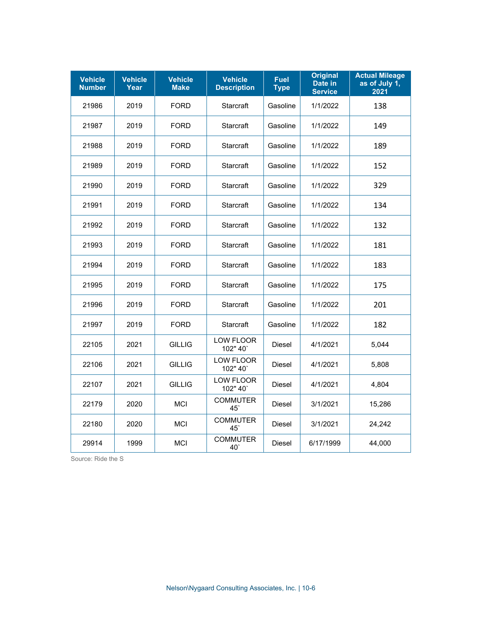| <b>Vehicle</b><br><b>Number</b> | <b>Vehicle</b><br>Year | <b>Vehicle</b><br><b>Make</b> | <b>Vehicle</b><br><b>Description</b> | <b>Fuel</b><br><b>Type</b> | <b>Original</b><br>Date in<br><b>Service</b> | <b>Actual Mileage</b><br>as of July 1,<br>2021 |
|---------------------------------|------------------------|-------------------------------|--------------------------------------|----------------------------|----------------------------------------------|------------------------------------------------|
| 21986                           | 2019                   | <b>FORD</b>                   | Starcraft                            | Gasoline                   | 1/1/2022                                     | 138                                            |
| 21987                           | 2019                   | <b>FORD</b>                   | Starcraft                            | Gasoline                   | 1/1/2022                                     | 149                                            |
| 21988                           | 2019                   | <b>FORD</b>                   | Starcraft                            | Gasoline                   | 1/1/2022                                     | 189                                            |
| 21989                           | 2019                   | <b>FORD</b>                   | Starcraft                            | Gasoline                   | 1/1/2022                                     | 152                                            |
| 21990                           | 2019                   | <b>FORD</b>                   | Starcraft                            | Gasoline                   | 1/1/2022                                     | 329                                            |
| 21991                           | 2019                   | <b>FORD</b>                   | Starcraft                            | Gasoline                   | 1/1/2022                                     | 134                                            |
| 21992                           | 2019                   | <b>FORD</b>                   | Starcraft                            | Gasoline                   | 1/1/2022                                     | 132                                            |
| 21993                           | 2019                   | <b>FORD</b>                   | Starcraft                            | Gasoline                   | 1/1/2022                                     | 181                                            |
| 21994                           | 2019                   | <b>FORD</b>                   | Starcraft                            | Gasoline                   | 1/1/2022                                     | 183                                            |
| 21995                           | 2019                   | <b>FORD</b>                   | Starcraft                            | Gasoline                   | 1/1/2022                                     | 175                                            |
| 21996                           | 2019                   | <b>FORD</b>                   | Starcraft                            | Gasoline                   | 1/1/2022                                     | 201                                            |
| 21997                           | 2019                   | <b>FORD</b>                   | Starcraft                            | Gasoline                   | 1/1/2022                                     | 182                                            |
| 22105                           | 2021                   | <b>GILLIG</b>                 | <b>LOW FLOOR</b><br>102" 40'         | <b>Diesel</b>              | 4/1/2021                                     | 5,044                                          |
| 22106                           | 2021                   | <b>GILLIG</b>                 | <b>LOW FLOOR</b><br>102" 40"         | <b>Diesel</b>              | 4/1/2021                                     | 5,808                                          |
| 22107                           | 2021                   | <b>GILLIG</b>                 | <b>LOW FLOOR</b><br>102" 40'         | Diesel                     | 4/1/2021                                     | 4,804                                          |
| 22179                           | 2020                   | <b>MCI</b>                    | <b>COMMUTER</b><br>$45^\circ$        | Diesel                     | 3/1/2021                                     | 15,286                                         |
| 22180                           | 2020                   | <b>MCI</b>                    | <b>COMMUTER</b><br>45                | Diesel                     | 3/1/2021                                     | 24,242                                         |
| 29914                           | 1999                   | <b>MCI</b>                    | <b>COMMUTER</b><br>40                | <b>Diesel</b>              | 6/17/1999                                    | 44,000                                         |

Source: Ride the S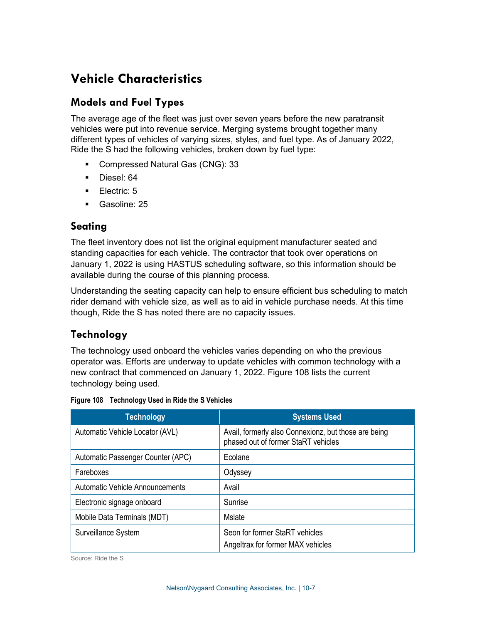### **Vehicle Characteristics**

### **Models and Fuel Types**

The average age of the fleet was just over seven years before the new paratransit vehicles were put into revenue service. Merging systems brought together many different types of vehicles of varying sizes, styles, and fuel type. As of January 2022, Ride the S had the following vehicles, broken down by fuel type:

- Compressed Natural Gas (CNG): 33
- **Diesel: 64**
- **Electric: 5**
- Gasoline: 25

### **Seating**

The fleet inventory does not list the original equipment manufacturer seated and standing capacities for each vehicle. The contractor that took over operations on January 1, 2022 is using HASTUS scheduling software, so this information should be available during the course of this planning process.

Understanding the seating capacity can help to ensure efficient bus scheduling to match rider demand with vehicle size, as well as to aid in vehicle purchase needs. At this time though, Ride the S has noted there are no capacity issues.

### **Technology**

The technology used onboard the vehicles varies depending on who the previous operator was. Efforts are underway to update vehicles with common technology with a new contract that commenced on January 1, 2022. [Figure 108](#page-6-0) lists the current technology being used.

<span id="page-6-0"></span>

|  | Figure 108 Technology Used in Ride the S Vehicles |  |  |  |  |
|--|---------------------------------------------------|--|--|--|--|
|--|---------------------------------------------------|--|--|--|--|

| <b>Technology</b>                 | <b>Systems Used</b>                                                                         |
|-----------------------------------|---------------------------------------------------------------------------------------------|
| Automatic Vehicle Locator (AVL)   | Avail, formerly also Connexionz, but those are being<br>phased out of former StaRT vehicles |
| Automatic Passenger Counter (APC) | Ecolane                                                                                     |
| Fareboxes                         | Odyssey                                                                                     |
| Automatic Vehicle Announcements   | Avail                                                                                       |
| Electronic signage onboard        | Sunrise                                                                                     |
| Mobile Data Terminals (MDT)       | Mslate                                                                                      |
| Surveillance System               | Seon for former StaRT vehicles<br>Angeltrax for former MAX vehicles                         |

Source: Ride the S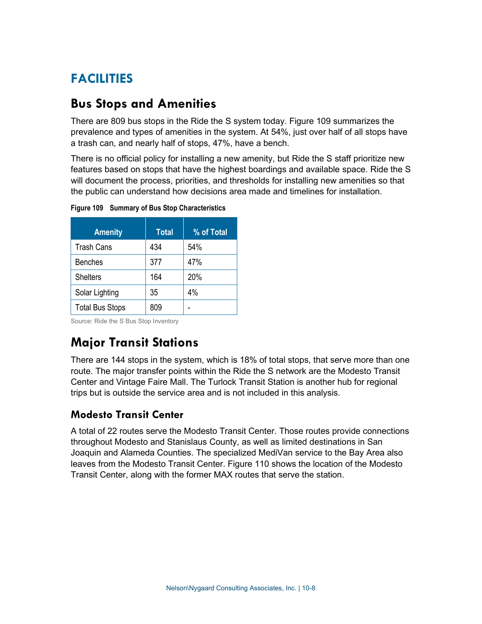# **FACILITIES**

### **Bus Stops and Amenities**

There are 809 bus stops in the Ride the S system today. [Figure 109](#page-7-0) summarizes the prevalence and types of amenities in the system. At 54%, just over half of all stops have a trash can, and nearly half of stops, 47%, have a bench.

There is no official policy for installing a new amenity, but Ride the S staff prioritize new features based on stops that have the highest boardings and available space. Ride the S will document the process, priorities, and thresholds for installing new amenities so that the public can understand how decisions area made and timelines for installation.

| <b>Amenity</b>         | <b>Total</b> | % of Total |
|------------------------|--------------|------------|
| <b>Trash Cans</b>      | 434          | 54%        |
| <b>Benches</b>         | 377          | 47%        |
| <b>Shelters</b>        | 164          | 20%        |
| Solar Lighting         | 35           | 4%         |
| <b>Total Bus Stops</b> | 809          |            |

<span id="page-7-0"></span>**Figure 109 Summary of Bus Stop Characteristics**

Source: Ride the S Bus Stop Inventory

# **Major Transit Stations**

There are 144 stops in the system, which is 18% of total stops, that serve more than one route. The major transfer points within the Ride the S network are the Modesto Transit Center and Vintage Faire Mall. The Turlock Transit Station is another hub for regional trips but is outside the service area and is not included in this analysis.

### **Modesto Transit Center**

A total of 22 routes serve the Modesto Transit Center. Those routes provide connections throughout Modesto and Stanislaus County, as well as limited destinations in San Joaquin and Alameda Counties. The specialized MediVan service to the Bay Area also leaves from the Modesto Transit Center. [Figure 110](#page-8-0) shows the location of the Modesto Transit Center, along with the former MAX routes that serve the station.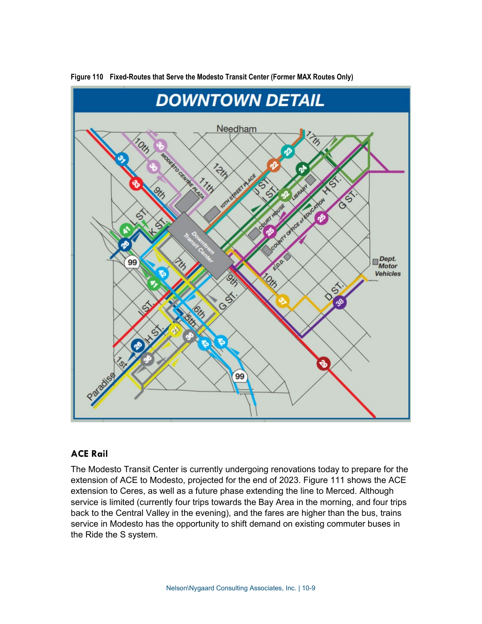

<span id="page-8-0"></span>**Figure 110 Fixed-Routes that Serve the Modesto Transit Center (Former MAX Routes Only)**

#### **ACE Rail**

The Modesto Transit Center is currently undergoing renovations today to prepare for the extension of ACE to Modesto, projected for the end of 2023. [Figure 111](#page-9-0) shows the ACE extension to Ceres, as well as a future phase extending the line to Merced. Although service is limited (currently four trips towards the Bay Area in the morning, and four trips back to the Central Valley in the evening), and the fares are higher than the bus, trains service in Modesto has the opportunity to shift demand on existing commuter buses in the Ride the S system.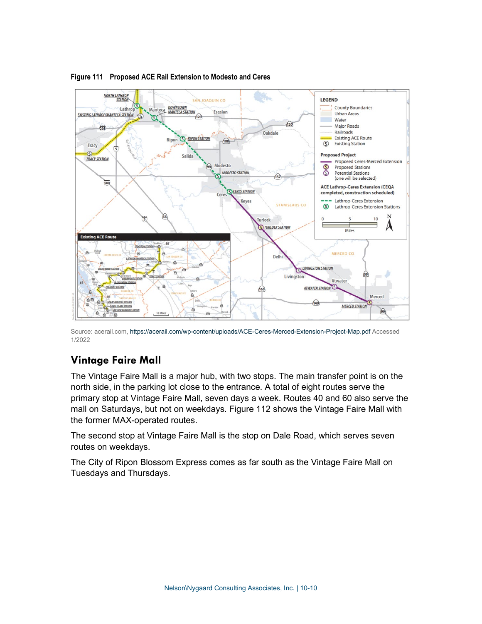

#### <span id="page-9-0"></span>**Figure 111 Proposed ACE Rail Extension to Modesto and Ceres**

Source: acerail.com[, https://acerail.com/wp-content/uploads/ACE-Ceres-Merced-Extension-Project-Map.pdf](https://acerail.com/wp-content/uploads/ACE-Ceres-Merced-Extension-Project-Map.pdf) Accessed 1/2022

### **Vintage Faire Mall**

The Vintage Faire Mall is a major hub, with two stops. The main transfer point is on the north side, in the parking lot close to the entrance. A total of eight routes serve the primary stop at Vintage Faire Mall, seven days a week. Routes 40 and 60 also serve the mall on Saturdays, but not on weekdays. [Figure 112](#page-10-0) shows the Vintage Faire Mall with the former MAX-operated routes.

The second stop at Vintage Faire Mall is the stop on Dale Road, which serves seven routes on weekdays.

The City of Ripon Blossom Express comes as far south as the Vintage Faire Mall on Tuesdays and Thursdays.